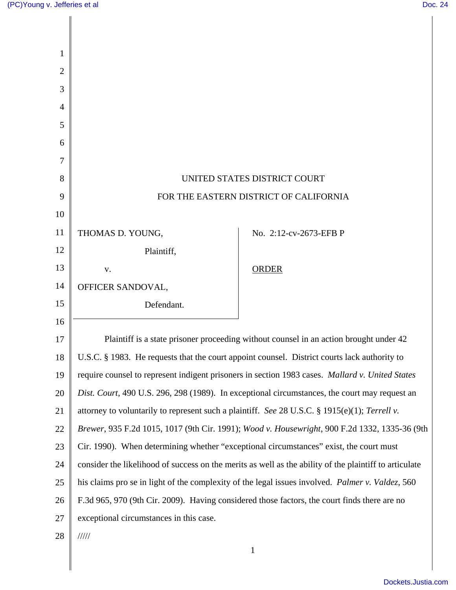| 1              |                                                                                                        |                                                                                               |
|----------------|--------------------------------------------------------------------------------------------------------|-----------------------------------------------------------------------------------------------|
| $\overline{2}$ |                                                                                                        |                                                                                               |
| 3              |                                                                                                        |                                                                                               |
| 4              |                                                                                                        |                                                                                               |
| 5              |                                                                                                        |                                                                                               |
| 6              |                                                                                                        |                                                                                               |
| 7              |                                                                                                        |                                                                                               |
| 8              |                                                                                                        | UNITED STATES DISTRICT COURT                                                                  |
| 9              | FOR THE EASTERN DISTRICT OF CALIFORNIA                                                                 |                                                                                               |
| 10             |                                                                                                        |                                                                                               |
| 11             | THOMAS D. YOUNG,                                                                                       | No. 2:12-cv-2673-EFB P                                                                        |
| 12             | Plaintiff,                                                                                             |                                                                                               |
| 13             | V.                                                                                                     | <b>ORDER</b>                                                                                  |
| 14             | OFFICER SANDOVAL,                                                                                      |                                                                                               |
| 15             | Defendant.                                                                                             |                                                                                               |
| 16             |                                                                                                        |                                                                                               |
| 17             | Plaintiff is a state prisoner proceeding without counsel in an action brought under 42                 |                                                                                               |
| 18             | U.S.C. § 1983. He requests that the court appoint counsel. District courts lack authority to           |                                                                                               |
| 19             | require counsel to represent indigent prisoners in section 1983 cases. Mallard v. United States        |                                                                                               |
| 20             | Dist. Court, 490 U.S. 296, 298 (1989). In exceptional circumstances, the court may request an          |                                                                                               |
| 21             | attorney to voluntarily to represent such a plaintiff. See 28 U.S.C. § 1915(e)(1); Terrell v.          |                                                                                               |
| 22             |                                                                                                        | Brewer, 935 F.2d 1015, 1017 (9th Cir. 1991); Wood v. Housewright, 900 F.2d 1332, 1335-36 (9th |
| 23             | Cir. 1990). When determining whether "exceptional circumstances" exist, the court must                 |                                                                                               |
| 24             | consider the likelihood of success on the merits as well as the ability of the plaintiff to articulate |                                                                                               |
| 25             | his claims pro se in light of the complexity of the legal issues involved. Palmer v. Valdez, 560       |                                                                                               |
| 26             | F.3d 965, 970 (9th Cir. 2009). Having considered those factors, the court finds there are no           |                                                                                               |
| 27             | exceptional circumstances in this case.                                                                |                                                                                               |
| 28             | 11111                                                                                                  |                                                                                               |
|                |                                                                                                        | $\mathbf{1}$                                                                                  |